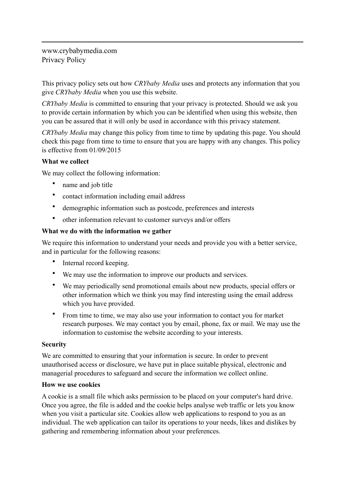www.crybabymedia.com Privacy Policy

This privacy policy sets out how *CRYbaby Media* uses and protects any information that you give *CRYbaby Media* when you use this website.

*CRYbaby Media* is committed to ensuring that your privacy is protected. Should we ask you to provide certain information by which you can be identified when using this website, then you can be assured that it will only be used in accordance with this privacy statement.

*CRYbaby Media* may change this policy from time to time by updating this page. You should check this page from time to time to ensure that you are happy with any changes. This policy is effective from 01/09/2015

## **What we collect**

We may collect the following information:

- name and job title
- contact information including email address
- demographic information such as postcode, preferences and interests
- other information relevant to customer surveys and/or offers

## **What we do with the information we gather**

We require this information to understand your needs and provide you with a better service, and in particular for the following reasons:

- Internal record keeping.
- We may use the information to improve our products and services.
- We may periodically send promotional emails about new products, special offers or other information which we think you may find interesting using the email address which you have provided.
- From time to time, we may also use your information to contact you for market research purposes. We may contact you by email, phone, fax or mail. We may use the information to customise the website according to your interests.

## **Security**

We are committed to ensuring that your information is secure. In order to prevent unauthorised access or disclosure, we have put in place suitable physical, electronic and managerial procedures to safeguard and secure the information we collect online.

## **How we use cookies**

A cookie is a small file which asks permission to be placed on your computer's hard drive. Once you agree, the file is added and the cookie helps analyse web traffic or lets you know when you visit a particular site. Cookies allow web applications to respond to you as an individual. The web application can tailor its operations to your needs, likes and dislikes by gathering and remembering information about your preferences.